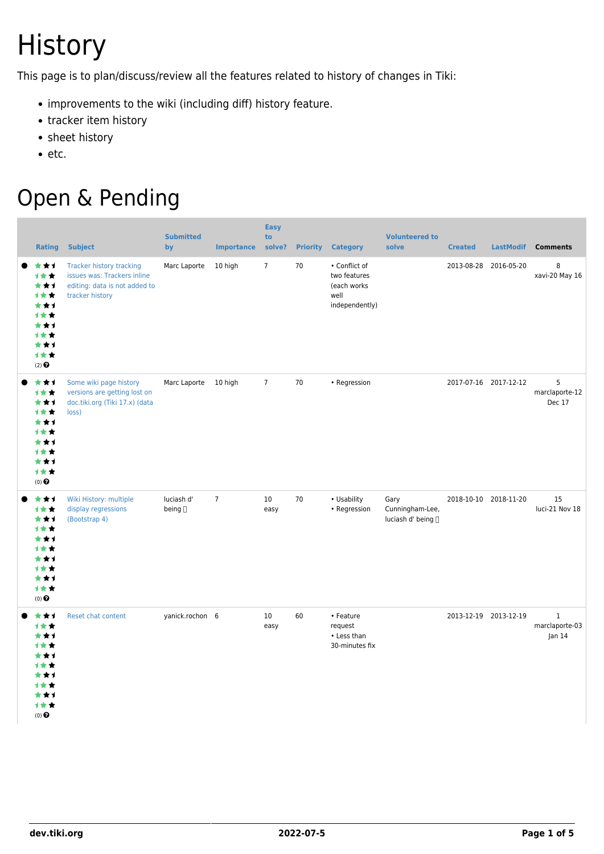# **History**

This page is to plan/discuss/review all the features related to history of changes in Tiki:

- improvements to the wiki (including diff) history feature.
- tracker item history
- sheet history
- $\bullet$  etc.

# Open & Pending

| <b>Rating</b>                                                                                             | <b>Subject</b>                                                                                                     | <b>Submitted</b><br>by | <b>Importance</b> | <b>Easy</b><br>to<br>solve? |    | <b>Priority Category</b>                                               | <b>Volunteered to</b><br>solve                 | <b>Created</b> |                       | LastModif Comments                       |
|-----------------------------------------------------------------------------------------------------------|--------------------------------------------------------------------------------------------------------------------|------------------------|-------------------|-----------------------------|----|------------------------------------------------------------------------|------------------------------------------------|----------------|-----------------------|------------------------------------------|
| ***<br><b>1**</b><br>***<br><b>1**</b><br>***<br>计女女<br>***<br>计女女<br>***<br>计女女<br>$(2)$ $\odot$         | <b>Tracker history tracking</b><br>issues was: Trackers inline<br>editing: data is not added to<br>tracker history | Marc Laporte           | 10 high           | $\overline{7}$              | 70 | • Conflict of<br>two features<br>(each works<br>well<br>independently) |                                                |                | 2013-08-28 2016-05-20 | 8<br>xavi-20 May 16                      |
| ***<br>计女女<br>***<br><b>1**</b><br>***<br><b>1**</b><br>***<br><b>1**</b><br>***<br>计女女<br>(0)            | Some wiki page history<br>versions are getting lost on<br>doc.tiki.org (Tiki 17.x) (data<br>loss)                  | Marc Laporte 10 high   |                   | $\overline{7}$              | 70 | • Regression                                                           |                                                |                | 2017-07-16 2017-12-12 | 5<br>marclaporte-12<br>Dec 17            |
| ***<br>计女女<br>***<br>计女女<br>***<br>计女女<br>***<br><b>1**</b><br>***<br>1★★<br>$(0)$ $\odot$                | Wiki History: multiple<br>display regressions<br>(Bootstrap 4)                                                     | luciash d'<br>being [] | $\overline{7}$    | 10<br>easy                  | 70 | • Usability<br>• Regression                                            | Gary<br>Cunningham-Lee,<br>luciash d' being [] |                | 2018-10-10 2018-11-20 | 15<br>luci-21 Nov 18                     |
| ***<br>计女女<br>***<br>计女女<br>***<br>计女女<br>***<br>计女女<br>***<br>1★★<br>$(0)$ <sup><math>\odot</math></sup> | Reset chat content                                                                                                 | yanick.rochon 6        |                   | 10<br>easy                  | 60 | • Feature<br>request<br>• Less than<br>30-minutes fix                  |                                                |                | 2013-12-19 2013-12-19 | $\mathbf{1}$<br>marclaporte-03<br>Jan 14 |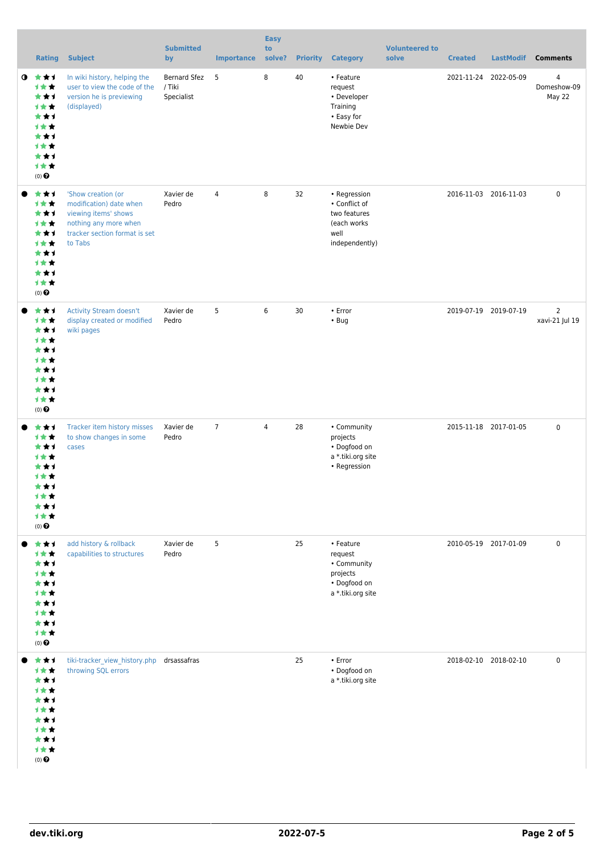| <b>Rating</b>                                                                                                 | <b>Subject</b>                                                                                                                             | <b>Submitted</b><br>by               | <b>Importance</b> | <b>Easy</b><br>to<br>solve? | <b>Priority</b> | <b>Category</b>                                                                        | <b>Volunteered to</b><br>solve | <b>Created</b> | <b>LastModif</b>      | <b>Comments</b>                  |
|---------------------------------------------------------------------------------------------------------------|--------------------------------------------------------------------------------------------------------------------------------------------|--------------------------------------|-------------------|-----------------------------|-----------------|----------------------------------------------------------------------------------------|--------------------------------|----------------|-----------------------|----------------------------------|
| $0 \star \star \star$<br>计女女<br>***<br>1★★<br>***<br>1★★<br>***<br><b>1**</b><br>***<br>1★★<br>$(0)$ $\Theta$ | In wiki history, helping the<br>user to view the code of the<br>version he is previewing<br>(displayed)                                    | Bernard Sfez<br>/ Tiki<br>Specialist | 5                 | 8                           | 40              | • Feature<br>request<br>• Developer<br>Training<br>• Easy for<br>Newbie Dev            |                                |                | 2021-11-24 2022-05-09 | 4<br>Domeshow-09<br>May 22       |
| ***<br>计女女<br>***<br>1★★<br>***<br>1★★<br>***<br>1★★<br>***<br>1★★<br>$(0)$ $\odot$                           | 'Show creation (or<br>modification) date when<br>viewing items' shows<br>nothing any more when<br>tracker section format is set<br>to Tabs | Xavier de<br>Pedro                   | 4                 | 8                           | 32              | • Regression<br>• Conflict of<br>two features<br>(each works<br>well<br>independently) |                                |                | 2016-11-03 2016-11-03 | 0                                |
| ***<br>***<br>***<br>1★★<br>***<br>计女女<br>***<br>计女女<br>***<br>计女女<br>$(0)$ $\odot$                           | <b>Activity Stream doesn't</b><br>display created or modified<br>wiki pages                                                                | Xavier de<br>Pedro                   | 5                 | 6                           | 30              | • Error<br>$\cdot$ Bug                                                                 |                                |                | 2019-07-19 2019-07-19 | $\overline{2}$<br>xavi-21 Jul 19 |
| ***<br>计女女<br>***<br><b>1**</b><br>***<br>计女女<br>***<br>计女女<br>★★↑<br>计女女<br>$(0)$ $\odot$                    | Tracker item history misses<br>to show changes in some<br>cases                                                                            | Xavier de<br>Pedro                   | $\overline{7}$    | $\overline{4}$              | 28              | • Community<br>projects<br>• Dogfood on<br>a *.tiki.org site<br>• Regression           |                                |                | 2015-11-18 2017-01-05 | $\pmb{0}$                        |
| ***<br>1★★<br>***<br>1★★<br>***<br>1★★<br>***<br>1★★<br>***<br>计女女<br>$(0)$<br>$\pmb{\Theta}$                 | add history & rollback<br>capabilities to structures                                                                                       | Xavier de<br>Pedro                   | 5                 |                             | 25              | • Feature<br>request<br>• Community<br>projects<br>• Dogfood on<br>a *.tiki.org site   |                                |                | 2010-05-19 2017-01-09 | 0                                |
| ***<br>计女女<br>***<br>计女女<br>***<br>计女女<br>***<br>计女女<br>***<br>计女女<br>$(0)$ $\odot$                           | tiki-tracker_view_history.php drsassafras<br>throwing SQL errors                                                                           |                                      |                   |                             | 25              | • Error<br>• Dogfood on<br>a *.tiki.org site                                           |                                |                | 2018-02-10 2018-02-10 | 0                                |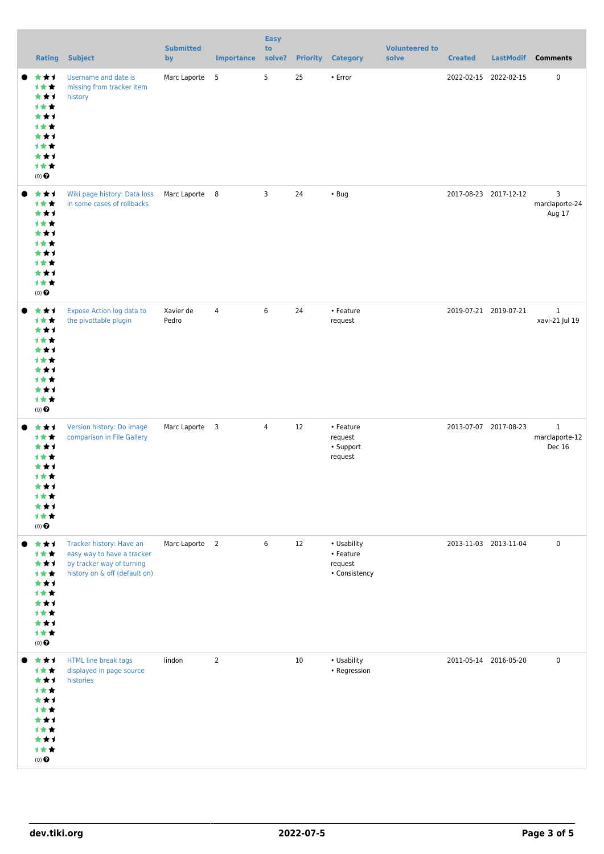| <b>Rating</b>                                                                                 | <b>Subject</b>                                                                                                       | <b>Submitted</b><br>by | <b>Importance</b> | <b>Easy</b><br>to<br>solve? |    | <b>Priority Category</b>                             | <b>Volunteered to</b><br>solve | <b>Created</b>        |                       | LastModif Comments                       |
|-----------------------------------------------------------------------------------------------|----------------------------------------------------------------------------------------------------------------------|------------------------|-------------------|-----------------------------|----|------------------------------------------------------|--------------------------------|-----------------------|-----------------------|------------------------------------------|
| ***<br>计女女<br>***<br>1★★<br>***<br>计女女<br>***<br>计女女<br>***<br>计女女<br>$(0)$ $\Theta$          | Username and date is<br>missing from tracker item<br>history                                                         | Marc Laporte 5         |                   | 5 <sub>5</sub>              | 25 | • Error                                              |                                |                       | 2022-02-15 2022-02-15 | $\pmb{0}$                                |
| ***<br>1★★<br>***<br><b>1**</b><br>***<br>计女女<br>***<br>计女女<br>***<br>计女女<br>$(0)$ $\Theta$   | Wiki page history: Data loss<br>in some cases of rollbacks                                                           | Marc Laporte 8         |                   | 3                           | 24 | $\cdot$ Bug                                          |                                | 2017-08-23 2017-12-12 |                       | 3<br>marclaporte-24<br>Aug 17            |
| ***<br>计女女<br>***<br>计女女<br>***<br>计女女<br>***<br>***<br>***<br>计女女<br>$(0)$ $\odot$           | Expose Action log data to<br>the pivottable plugin                                                                   | Xavier de<br>Pedro     | $\overline{4}$    | 6                           | 24 | • Feature<br>request                                 |                                |                       | 2019-07-21 2019-07-21 | $\mathbf{1}$<br>xavi-21 Jul 19           |
| ***<br>1★★<br>***<br><b>1**</b><br>★★1<br>1★★<br>***<br>计女女<br>***<br>计女女<br>$(0)$ $\odot$    | Version history: Do image<br>comparison in File Gallery                                                              | Marc Laporte 3         |                   | 4                           | 12 | • Feature<br>request<br>• Support<br>request         |                                |                       | 2013-07-07 2017-08-23 | $\mathbf{1}$<br>marclaporte-12<br>Dec 16 |
| 大女子<br>计女女<br>***<br>1★★<br>***<br>计女女<br>***<br>计女女<br>***<br>1女女<br>$(0)$<br>$\pmb{\Theta}$ | Tracker history: Have an<br>easy way to have a tracker<br>by tracker way of turning<br>history on & off (default on) | Marc Laporte 2         |                   | 6                           | 12 | • Usability<br>• Feature<br>request<br>• Consistency |                                |                       | 2013-11-03 2013-11-04 | $\pmb{0}$                                |
| ***<br>计女女<br>***<br>1女女<br>***<br>计女女<br>***<br>计女女<br>***<br>计女女<br>$(0)$<br>$\pmb{\Theta}$ | HTML line break tags<br>displayed in page source<br>histories                                                        | lindon                 | $\overline{2}$    |                             | 10 | • Usability<br>• Regression                          |                                | 2011-05-14 2016-05-20 |                       | $\pmb{0}$                                |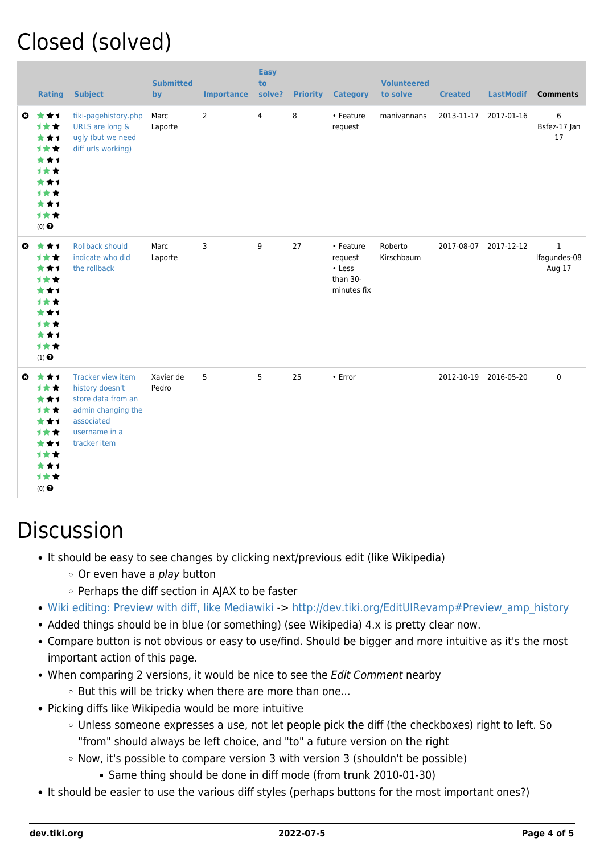# Closed (solved)

| <b>Rating</b>                                                                                               | <b>Subject</b>                                                                                                                  | <b>Submitted</b><br>by | <b>Importance</b> | <b>Easy</b><br>to<br>solve? |    | <b>Priority Category</b>                                  | <b>Volunteered</b><br>to solve | <b>Created</b>        | <b>LastModif</b> | <b>Comments</b>                        |
|-------------------------------------------------------------------------------------------------------------|---------------------------------------------------------------------------------------------------------------------------------|------------------------|-------------------|-----------------------------|----|-----------------------------------------------------------|--------------------------------|-----------------------|------------------|----------------------------------------|
| ◎ ★★1<br>***<br>***<br>计女女<br>***<br>1★★<br>***<br>1★★<br>***<br>计女女<br>$(0)$ $\odot$                       | tiki-pagehistory.php<br><b>URLS</b> are long &<br>ugly (but we need<br>diff urls working)                                       | Marc<br>Laporte        | 2                 | $\overline{4}$              | 8  | • Feature<br>request                                      | manivannans                    | 2013-11-17            | 2017-01-16       | 6<br>Bsfez-17 Jan<br>17                |
| ◎ ★★1<br>1★★<br>***<br>1★★<br>***<br>1★★<br>***<br><b>1**</b><br>***<br>计女女<br>$(1)$<br>$\pmb{\Theta}$      | <b>Rollback should</b><br>indicate who did<br>the rollback                                                                      | Marc<br>Laporte        | 3                 | 9                           | 27 | • Feature<br>request<br>• Less<br>than 30-<br>minutes fix | Roberto<br>Kirschbaum          | 2017-08-07 2017-12-12 |                  | $\mathbf{1}$<br>Ifagundes-08<br>Aug 17 |
| ◎ ★★1<br>计女女<br>***<br>计女女<br>***<br>计女女<br>***<br>计女女<br>***<br>计女女<br>$(0)$ <sup><math>\odot</math></sup> | Tracker view item<br>history doesn't<br>store data from an<br>admin changing the<br>associated<br>username in a<br>tracker item | Xavier de<br>Pedro     | 5                 | 5                           | 25 | $\cdot$ Error                                             |                                | 2012-10-19 2016-05-20 |                  | $\pmb{0}$                              |

## **Discussion**

- It should be easy to see changes by clicking next/previous edit (like Wikipedia)
	- Or even have a play button
	- $\circ$  Perhaps the diff section in AJAX to be faster
- [Wiki editing: Preview with diff, like Mediawiki](https://dev.tiki.org/wish1191) -> http://dev.tiki.org/EditUIRevamp#Preview amp\_history
- Added things should be in blue (or something) (see Wikipedia) 4.x is pretty clear now.
- Compare button is not obvious or easy to use/find. Should be bigger and more intuitive as it's the most important action of this page.
- When comparing 2 versions, it would be nice to see the Edit Comment nearby
- But this will be tricky when there are more than one...
- Picking diffs like Wikipedia would be more intuitive
	- Unless someone expresses a use, not let people pick the diff (the checkboxes) right to left. So "from" should always be left choice, and "to" a future version on the right
	- Now, it's possible to compare version 3 with version 3 (shouldn't be possible)
		- Same thing should be done in diff mode (from trunk 2010-01-30)
- It should be easier to use the various diff styles (perhaps buttons for the most important ones?)